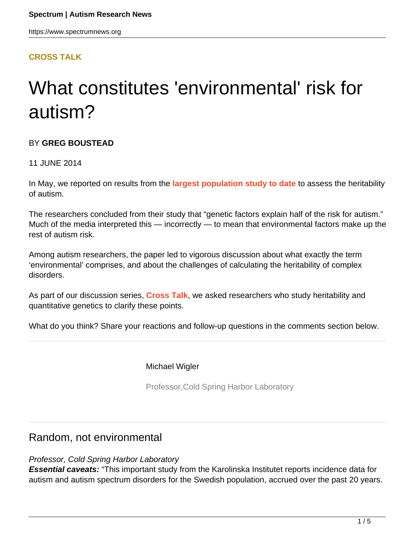#### **[CROSS TALK](HTTPS://WWW.SPECTRUMNEWS.ORG/OPINION/CROSS-TALK/)**

# What constitutes 'environmental' risk for autism?

#### BY **GREG BOUSTEAD**

#### 11 JUNE 2014

In May, we reported on results from the **[largest population study to date](https://www.spectrumnews.org/news/2014/environment-genetics-may-contribute-equally-to-autism-risk)** to assess the heritability of autism.

The researchers concluded from their study that "genetic factors explain half of the risk for autism." Much of the media interpreted this — incorrectly — to mean that environmental factors make up the rest of autism risk.

Among autism researchers, the paper led to vigorous discussion about what exactly the term 'environmental' comprises, and about the challenges of calculating the heritability of complex disorders.

As part of our discussion series, **[Cross Talk](http://sfari.org/sfari-community/community-blog/cross-talk)**, we asked researchers who study heritability and quantitative genetics to clarify these points.

What do you think? Share your reactions and follow-up questions in the comments section below.

Michael Wigler

Professor,Cold Spring Harbor Laboratory

## Random, not environmental

#### Professor, Cold Spring Harbor Laboratory

**Essential caveats:** "This important study from the Karolinska Institutet reports incidence data for autism and autism spectrum disorders for the Swedish population, accrued over the past 20 years.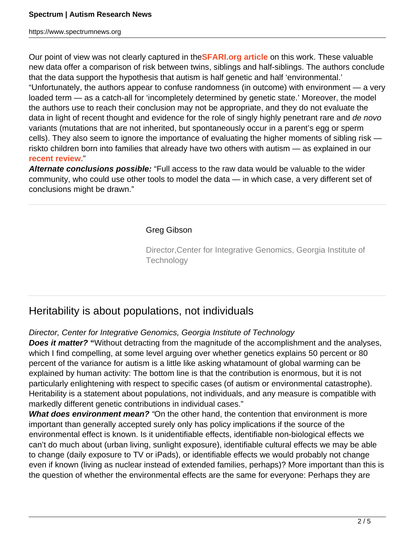Our point of view was not clearly captured in the**[SFARI.org article](https://www.spectrumnews.org/news/2014/environment-genetics-may-contribute-equally-to-autism-risk)** on this work. These valuable new data offer a comparison of risk between twins, siblings and half-siblings. The authors conclude that the data support the hypothesis that autism is half genetic and half 'environmental.' "Unfortunately, the authors appear to confuse randomness (in outcome) with environment — a very loaded term — as a catch-all for 'incompletely determined by genetic state.' Moreover, the model the authors use to reach their conclusion may not be appropriate, and they do not evaluate the data in light of recent thought and evidence for the role of singly highly penetrant rare and de novo variants (mutations that are not inherited, but spontaneously occur in a parent's egg or sperm cells). They also seem to ignore the importance of evaluating the higher moments of sibling risk riskto children born into families that already have two others with autism — as explained in our **[recent review](http://www.ncbi.nlm.nih.gov/pubmed/24430941)**."

**Alternate conclusions possible:** "Full access to the raw data would be valuable to the wider community, who could use other tools to model the data — in which case, a very different set of conclusions might be drawn."

#### Greg Gibson

Director,Center for Integrative Genomics, Georgia Institute of **Technology** 

## Heritability is about populations, not individuals

#### Director, Center for Integrative Genomics, Georgia Institute of Technology

**Does it matter? "**Without detracting from the magnitude of the accomplishment and the analyses, which I find compelling, at some level arguing over whether genetics explains 50 percent or 80 percent of the variance for autism is a little like asking whatamount of global warming can be explained by human activity: The bottom line is that the contribution is enormous, but it is not particularly enlightening with respect to specific cases (of autism or environmental catastrophe). Heritability is a statement about populations, not individuals, and any measure is compatible with markedly different genetic contributions in individual cases."

**What does environment mean?** "On the other hand, the contention that environment is more important than generally accepted surely only has policy implications if the source of the environmental effect is known. Is it unidentifiable effects, identifiable non-biological effects we can't do much about (urban living, sunlight exposure), identifiable cultural effects we may be able to change (daily exposure to TV or iPads), or identifiable effects we would probably not change even if known (living as nuclear instead of extended families, perhaps)? More important than this is the question of whether the environmental effects are the same for everyone: Perhaps they are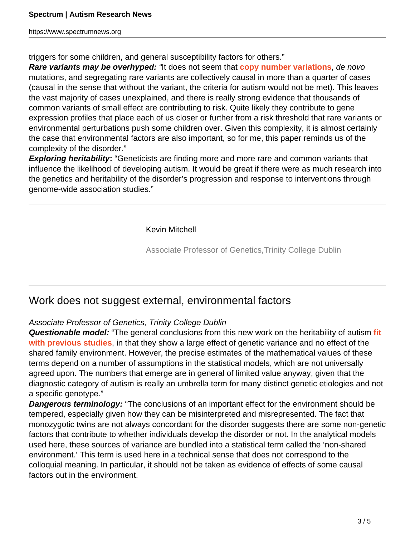triggers for some children, and general susceptibility factors for others."

**Rare variants may be overhyped:** "It does not seem that **[copy number variations](http://sfari.org/resources/sfari-wiki/copy-number-variation)**, de novo mutations, and segregating rare variants are collectively causal in more than a quarter of cases (causal in the sense that without the variant, the criteria for autism would not be met). This leaves the vast majority of cases unexplained, and there is really strong evidence that thousands of common variants of small effect are contributing to risk. Quite likely they contribute to gene expression profiles that place each of us closer or further from a risk threshold that rare variants or environmental perturbations push some children over. Given this complexity, it is almost certainly the case that environmental factors are also important, so for me, this paper reminds us of the complexity of the disorder."

**Exploring heritability:** "Geneticists are finding more and more rare and common variants that influence the likelihood of developing autism. It would be great if there were as much research into the genetics and heritability of the disorder's progression and response to interventions through genome-wide association studies."

Kevin Mitchell

Associate Professor of Genetics,Trinity College Dublin

## Work does not suggest external, environmental factors

#### Associate Professor of Genetics, Trinity College Dublin

**Questionable model:** "The general conclusions from this new work on the heritability of autism **[fit](https://www.spectrumnews.org/news/2011/experts-critique-statistics-conclusion-of-autism-twin-study) [with previous studies](https://www.spectrumnews.org/news/2011/experts-critique-statistics-conclusion-of-autism-twin-study)**, in that they show a large effect of genetic variance and no effect of the shared family environment. However, the precise estimates of the mathematical values of these terms depend on a number of assumptions in the statistical models, which are not universally agreed upon. The numbers that emerge are in general of limited value anyway, given that the diagnostic category of autism is really an umbrella term for many distinct genetic etiologies and not a specific genotype."

**Dangerous terminology:** "The conclusions of an important effect for the environment should be tempered, especially given how they can be misinterpreted and misrepresented. The fact that monozygotic twins are not always concordant for the disorder suggests there are some non-genetic factors that contribute to whether individuals develop the disorder or not. In the analytical models used here, these sources of variance are bundled into a statistical term called the 'non-shared environment.' This term is used here in a technical sense that does not correspond to the colloquial meaning. In particular, it should not be taken as evidence of effects of some causal factors out in the environment.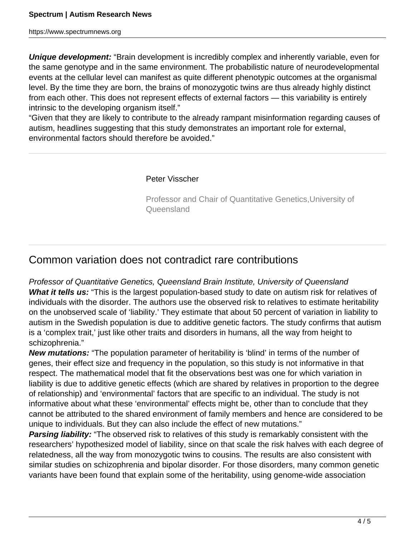**Unique development:** "Brain development is incredibly complex and inherently variable, even for the same genotype and in the same environment. The probabilistic nature of neurodevelopmental events at the cellular level can manifest as quite different phenotypic outcomes at the organismal level. By the time they are born, the brains of monozygotic twins are thus already highly distinct from each other. This does not represent effects of external factors — this variability is entirely intrinsic to the developing organism itself."

"Given that they are likely to contribute to the already rampant misinformation regarding causes of autism, headlines suggesting that this study demonstrates an important role for external, environmental factors should therefore be avoided."

#### Peter Visscher

Professor and Chair of Quantitative Genetics,University of Queensland

## Common variation does not contradict rare contributions

Professor of Quantitative Genetics, Queensland Brain Institute, University of Queensland What it tells us: "This is the largest population-based study to date on autism risk for relatives of individuals with the disorder. The authors use the observed risk to relatives to estimate heritability on the unobserved scale of 'liability.' They estimate that about 50 percent of variation in liability to autism in the Swedish population is due to additive genetic factors. The study confirms that autism is a 'complex trait,' just like other traits and disorders in humans, all the way from height to schizophrenia."

**New mutations:** "The population parameter of heritability is 'blind' in terms of the number of genes, their effect size and frequency in the population, so this study is not informative in that respect. The mathematical model that fit the observations best was one for which variation in liability is due to additive genetic effects (which are shared by relatives in proportion to the degree of relationship) and 'environmental' factors that are specific to an individual. The study is not informative about what these 'environmental' effects might be, other than to conclude that they cannot be attributed to the shared environment of family members and hence are considered to be unique to individuals. But they can also include the effect of new mutations."

**Parsing liability:** "The observed risk to relatives of this study is remarkably consistent with the researchers' hypothesized model of liability, since on that scale the risk halves with each degree of relatedness, all the way from monozygotic twins to cousins. The results are also consistent with similar studies on schizophrenia and bipolar disorder. For those disorders, many common genetic variants have been found that explain some of the heritability, using genome-wide association